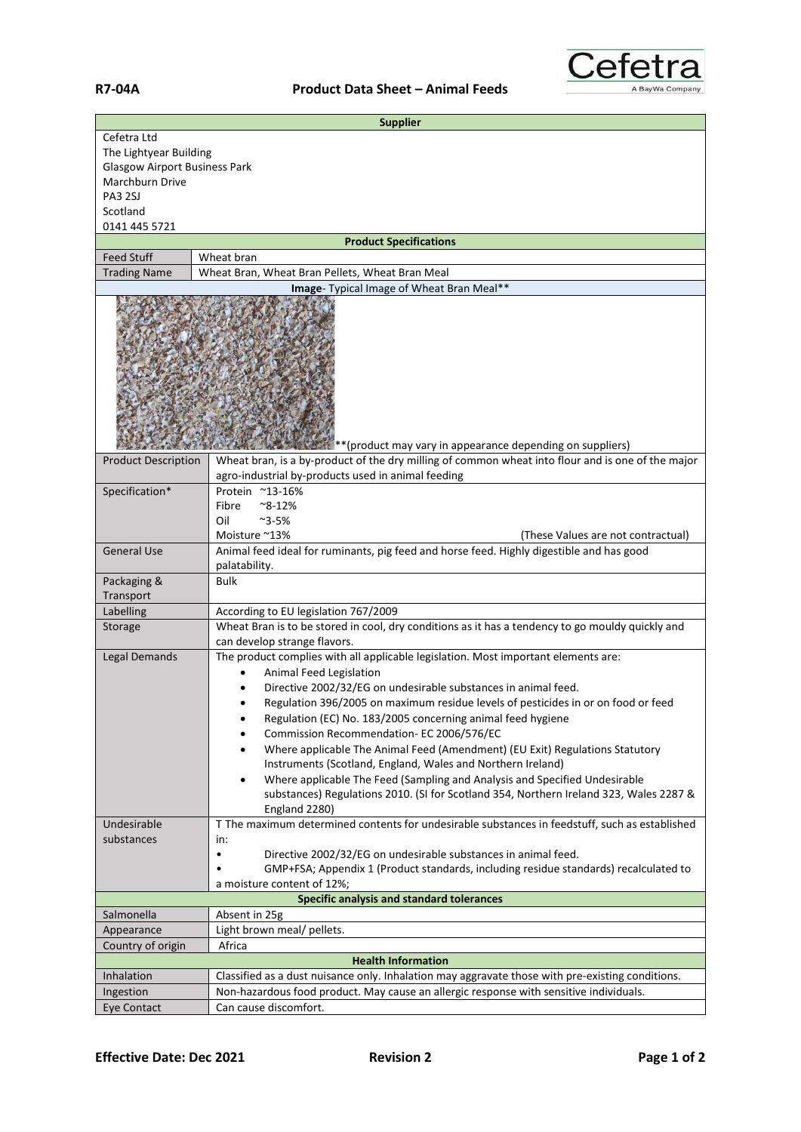

| <b>Supplier</b>                                           |                                                                                                                                                                                            |  |
|-----------------------------------------------------------|--------------------------------------------------------------------------------------------------------------------------------------------------------------------------------------------|--|
| Cefetra Ltd                                               |                                                                                                                                                                                            |  |
| The Lightyear Building                                    |                                                                                                                                                                                            |  |
| <b>Glasgow Airport Business Park</b>                      |                                                                                                                                                                                            |  |
| Marchburn Drive                                           |                                                                                                                                                                                            |  |
| PA3 2SJ                                                   |                                                                                                                                                                                            |  |
| Scotland                                                  |                                                                                                                                                                                            |  |
| 0141 445 5721                                             |                                                                                                                                                                                            |  |
| <b>Feed Stuff</b>                                         | <b>Product Specifications</b><br>Wheat bran                                                                                                                                                |  |
| <b>Trading Name</b>                                       | Wheat Bran, Wheat Bran Pellets, Wheat Bran Meal                                                                                                                                            |  |
|                                                           | Image- Typical Image of Wheat Bran Meal**                                                                                                                                                  |  |
| **(product may vary in appearance depending on suppliers) |                                                                                                                                                                                            |  |
| <b>Product Description</b>                                | Wheat bran, is a by-product of the dry milling of common wheat into flour and is one of the major<br>agro-industrial by-products used in animal feeding                                    |  |
| Specification*                                            | Protein ~13-16%                                                                                                                                                                            |  |
|                                                           | Fibre<br>$^{\sim}$ 8-12%                                                                                                                                                                   |  |
|                                                           | Oil<br>$^{\sim}$ 3-5%                                                                                                                                                                      |  |
|                                                           | Moisture ~13%<br>(These Values are not contractual)                                                                                                                                        |  |
| <b>General Use</b>                                        | Animal feed ideal for ruminants, pig feed and horse feed. Highly digestible and has good                                                                                                   |  |
|                                                           | palatability.                                                                                                                                                                              |  |
| Packaging &                                               | Bulk                                                                                                                                                                                       |  |
| Transport                                                 |                                                                                                                                                                                            |  |
| Labelling                                                 | According to EU legislation 767/2009                                                                                                                                                       |  |
| Storage                                                   | Wheat Bran is to be stored in cool, dry conditions as it has a tendency to go mouldy quickly and                                                                                           |  |
|                                                           | can develop strange flavors.                                                                                                                                                               |  |
| <b>Legal Demands</b>                                      | The product complies with all applicable legislation. Most important elements are:                                                                                                         |  |
|                                                           | Animal Feed Legislation                                                                                                                                                                    |  |
|                                                           | Directive 2002/32/EG on undesirable substances in animal feed.                                                                                                                             |  |
|                                                           | Regulation 396/2005 on maximum residue levels of pesticides in or on food or feed                                                                                                          |  |
|                                                           | Regulation (EC) No. 183/2005 concerning animal feed hygiene                                                                                                                                |  |
|                                                           | Commission Recommendation- EC 2006/576/EC                                                                                                                                                  |  |
|                                                           | Where applicable The Animal Feed (Amendment) (EU Exit) Regulations Statutory                                                                                                               |  |
|                                                           | Instruments (Scotland, England, Wales and Northern Ireland)                                                                                                                                |  |
|                                                           | Where applicable The Feed (Sampling and Analysis and Specified Undesirable<br>٠<br>substances) Regulations 2010. (SI for Scotland 354, Northern Ireland 323, Wales 2287 &<br>England 2280) |  |
| Undesirable                                               | T The maximum determined contents for undesirable substances in feedstuff, such as established                                                                                             |  |
| substances                                                | in:                                                                                                                                                                                        |  |
|                                                           | Directive 2002/32/EG on undesirable substances in animal feed.<br>$\bullet$                                                                                                                |  |
|                                                           | GMP+FSA; Appendix 1 (Product standards, including residue standards) recalculated to                                                                                                       |  |
|                                                           | a moisture content of 12%;                                                                                                                                                                 |  |
| Specific analysis and standard tolerances                 |                                                                                                                                                                                            |  |
| Salmonella                                                | Absent in 25g                                                                                                                                                                              |  |
| Appearance                                                | Light brown meal/ pellets.                                                                                                                                                                 |  |
| Country of origin                                         | Africa                                                                                                                                                                                     |  |
| <b>Health Information</b>                                 |                                                                                                                                                                                            |  |
| Inhalation                                                | Classified as a dust nuisance only. Inhalation may aggravate those with pre-existing conditions.                                                                                           |  |
| Ingestion                                                 | Non-hazardous food product. May cause an allergic response with sensitive individuals.                                                                                                     |  |
| Eye Contact                                               | Can cause discomfort.                                                                                                                                                                      |  |